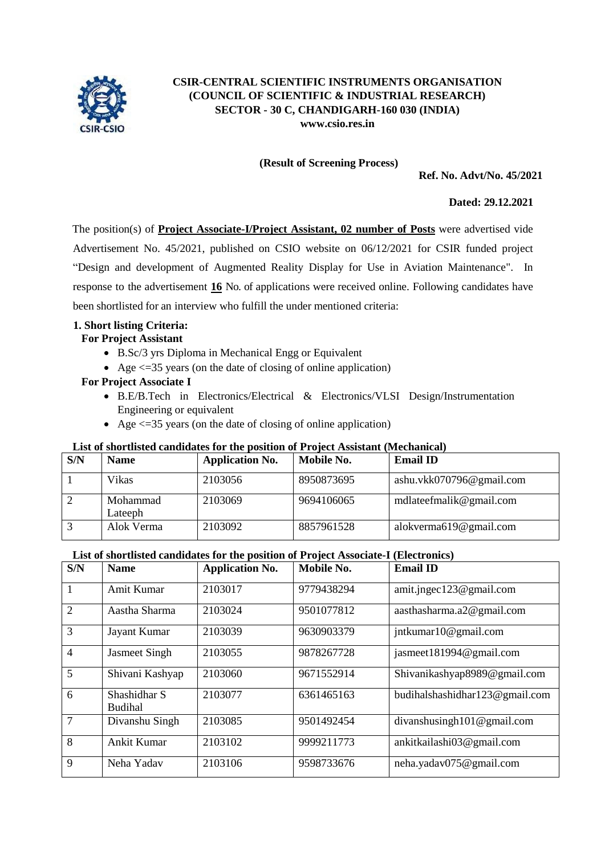

# **CSIR-CENTRAL SCIENTIFIC INSTRUMENTS ORGANISATION (COUNCIL OF SCIENTIFIC & INDUSTRIAL RESEARCH) SECTOR - 30 C, CHANDIGARH-160 030 (INDIA) [www.csio.res.in](http://www.csio.res.in/)**

#### **(Result of Screening Process)**

**Ref. No. Advt/No. 45/2021**

### **Dated: 29.12.2021**

The position(s) of **Project Associate-I/Project Assistant, 02 number of Posts** were advertised vide Advertisement No. 45/2021, published on CSIO website on 06/12/2021 for CSIR funded project "Design and development of Augmented Reality Display for Use in Aviation Maintenance". In response to the advertisement **16** No. of applications were received online. Following candidates have been shortlisted for an interview who fulfill the under mentioned criteria:

## **1. Short listing Criteria:**

## **For Project Assistant**

- B.Sc/3 yrs Diploma in Mechanical Engg or Equivalent
- Age  $\leq$  =35 years (on the date of closing of online application)

## **For Project Associate I**

- B.E/B.Tech in Electronics/Electrical & Electronics/VLSI Design/Instrumentation Engineering or equivalent
- Age  $\leq$  =35 years (on the date of closing of online application)

#### **List of shortlisted candidates for the position of Project Assistant (Mechanical)**

| S/N | <b>Name</b>         | <b>Application No.</b> | Mobile No. | <b>Email ID</b>          |
|-----|---------------------|------------------------|------------|--------------------------|
|     | Vikas               | 2103056                | 8950873695 | ashu.vkk070796@gmail.com |
|     | Mohammad<br>Lateeph | 2103069                | 9694106065 | mdlateefmalik@gmail.com  |
|     | Alok Verma          | 2103092                | 8857961528 | alokverma619@gmail.com   |

#### **List of shortlisted candidates for the position of Project Associate-I (Electronics)**

| S/N            | <b>Name</b>                    | <b>Application No.</b> | Mobile No. | <b>Email ID</b>                |
|----------------|--------------------------------|------------------------|------------|--------------------------------|
|                | Amit Kumar                     | 2103017                | 9779438294 | amit.jngec123@gmail.com        |
| $\overline{2}$ | Aastha Sharma                  | 2103024                | 9501077812 | aasthasharma.a2@gmail.com      |
| 3              | Jayant Kumar                   | 2103039                | 9630903379 | jntkumar10@gmail.com           |
| $\overline{4}$ | <b>Jasmeet Singh</b>           | 2103055                | 9878267728 | jasmeet181994@gmail.com        |
| 5              | Shivani Kashyap                | 2103060                | 9671552914 | Shivanikashyap8989@gmail.com   |
| 6              | Shashidhar S<br><b>Budihal</b> | 2103077                | 6361465163 | budihalshashidhar123@gmail.com |
| 7              | Divanshu Singh                 | 2103085                | 9501492454 | divanshusing $h101@$ gmail.com |
| 8              | <b>Ankit Kumar</b>             | 2103102                | 9999211773 | ankitkailashi03@gmail.com      |
| 9              | Neha Yadav                     | 2103106                | 9598733676 | neha.yaday075@gmail.com        |